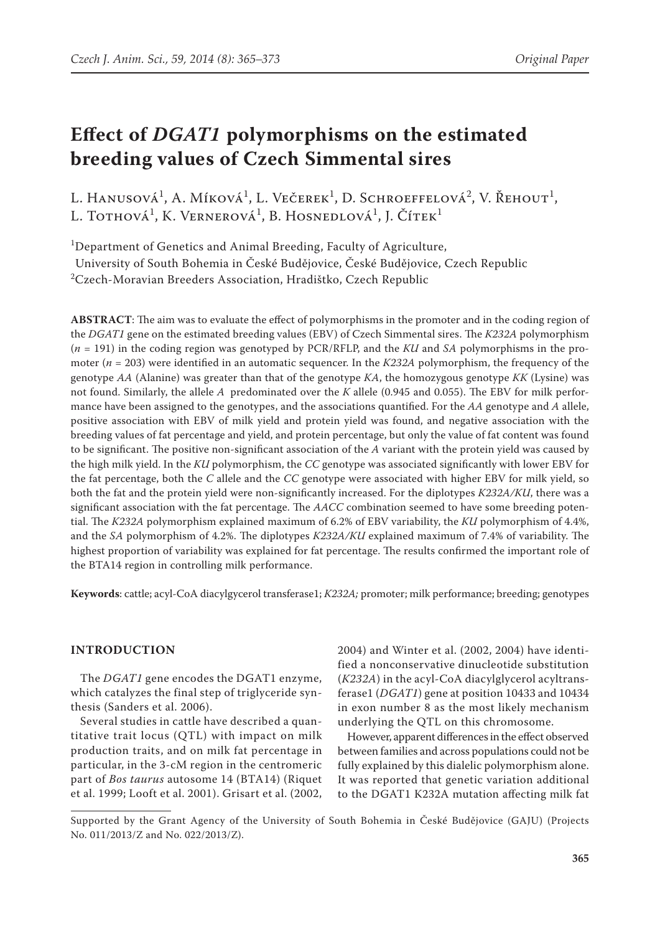L. Hanusová<sup>1</sup>, A. Míková<sup>1</sup>, L. Večerek<sup>1</sup>, D. Schroeffelová<sup>2</sup>, V. Řehout<sup>1</sup>, L. Tothová<sup>1</sup>, K. Vernerová<sup>1</sup>, B. Hosnedlová<sup>1</sup>, J. Čítek<sup>1</sup>

<sup>1</sup>Department of Genetics and Animal Breeding, Faculty of Agriculture,

University of South Bohemia in České Budějovice, České Budějovice, Czech Republic  $^{2}$ Czech-Moravian Breeders Association, Hradištko, Czech Republic

**ABSTRACT**: The aim was to evaluate the effect of polymorphisms in the promoter and in the coding region of the *DGAT1* gene on the estimated breeding values (EBV) of Czech Simmental sires. The *K232A* polymorphism (*n* = 191) in the coding region was genotyped by PCR/RFLP, and the *KU* and *SA* polymorphisms in the promoter (*n* = 203) were identified in an automatic sequencer. In the *K232A* polymorphism, the frequency of the genotype *AA* (Alanine) was greater than that of the genotype *KA*, the homozygous genotype *KK* (Lysine) was not found. Similarly, the allele *A* predominated over the *K* allele (0.945 and 0.055). The EBV for milk performance have been assigned to the genotypes, and the associations quantified. For the *AA* genotype and *A* allele, positive association with EBV of milk yield and protein yield was found, and negative association with the breeding values of fat percentage and yield, and protein percentage, but only the value of fat content was found to be significant. The positive non-significant association of the *A* variant with the protein yield was caused by the high milk yield. In the *KU* polymorphism, the *CC* genotype was associated significantly with lower EBV for the fat percentage, both the *C* allele and the *CC* genotype were associated with higher EBV for milk yield, so both the fat and the protein yield were non-significantly increased. For the diplotypes *K232A/KU*, there was a significant association with the fat percentage. The *AACC* combination seemed to have some breeding potential. The *K232A* polymorphism explained maximum of 6.2% of EBV variability, the *KU* polymorphism of 4.4%, and the *SA* polymorphism of 4.2%. The diplotypes *K232A/KU* explained maximum of 7.4% of variability. The highest proportion of variability was explained for fat percentage. The results confirmed the important role of the BTA14 region in controlling milk performance.

**Keywords**: cattle; acyl-CoA diacylgycerol transferase1; *K232A;* promoter; milk performance; breeding; genotypes

# **Introduction**

The *DGAT1* gene encodes the DGAT1 enzyme, which catalyzes the final step of triglyceride synthesis (Sanders et al. 2006).

Several studies in cattle have described a quantitative trait locus (QTL) with impact on milk production traits, and on milk fat percentage in particular, in the 3-cM region in the centromeric part of *Bos taurus* autosome 14 (BTA14) (Riquet et al. 1999; Looft et al. 2001). Grisart et al. (2002,

2004) and Winter et al. (2002, 2004) have identified a nonconservative dinucleotide substitution (*K232A*) in the acyl-CoA diacylglycerol acyltransferase1 (*DGAT1*) gene at position 10433 and 10434 in exon number 8 as the most likely mechanism underlying the QTL on this chromosome.

However, apparent differences in the effect observed between families and across populations could not be fully explained by this dialelic polymorphism alone. It was reported that genetic variation additional to the DGAT1 K232A mutation affecting milk fat

Supported by the Grant Agency of the University of South Bohemia in České Budějovice (GAJU) (Projects No. 011/2013/Z and No. 022/2013/Z).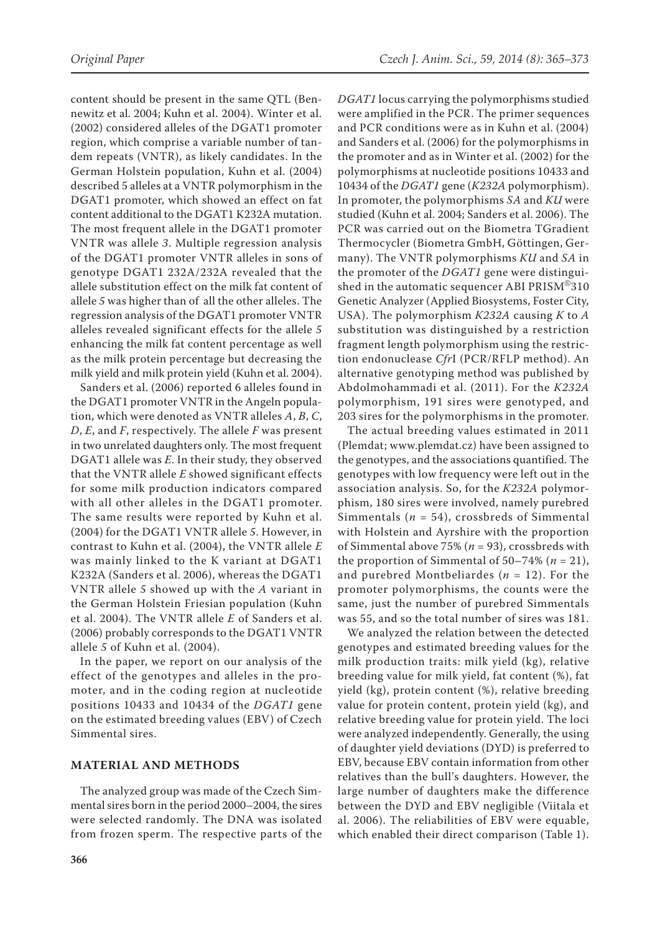content should be present in the same QTL (Bennewitz et al. 2004; Kuhn et al. 2004). Winter et al. (2002) considered alleles of the DGAT1 promoter region, which comprise a variable number of tandem repeats (VNTR), as likely candidates. In the German Holstein population, Kuhn et al. (2004) described 5 alleles at a VNTR polymorphism in the DGAT1 promoter, which showed an effect on fat content additional to the DGAT1 K232A mutation. The most frequent allele in the DGAT1 promoter VNTR was allele *3*. Multiple regression analysis of the DGAT1 promoter VNTR alleles in sons of genotype DGAT1 232A/232A revealed that the allele substitution effect on the milk fat content of allele *5* was higher than of all the other alleles. The regression analysis of the DGAT1 promoter VNTR alleles revealed significant effects for the allele *5*  enhancing the milk fat content percentage as well as the milk protein percentage but decreasing the milk yield and milk protein yield (Kuhn et al. 2004).

Sanders et al. (2006) reported 6 alleles found in the DGAT1 promoter VNTR in the Angeln population, which were denoted as VNTR alleles *A*, *B*, *C*, *D*, *E*, and *F*, respectively. The allele *F* was present in two unrelated daughters only. The most frequent DGAT1 allele was *E*. In their study, they observed that the VNTR allele *E* showed significant effects for some milk production indicators compared with all other alleles in the DGAT1 promoter. The same results were reported by Kuhn et al. (2004) for the DGAT1 VNTR allele *5*. However, in contrast to Kuhn et al. (2004), the VNTR allele *E* was mainly linked to the K variant at DGAT1 K232A (Sanders et al. 2006), whereas the DGAT1 VNTR allele *5* showed up with the *A* variant in the German Holstein Friesian population (Kuhn et al. 2004). The VNTR allele *E* of Sanders et al. (2006) probably corresponds to the DGAT1 VNTR allele *5* of Kuhn et al. (2004).

In the paper, we report on our analysis of the effect of the genotypes and alleles in the promoter, and in the coding region at nucleotide positions 10433 and 10434 of the *DGAT1* gene on the estimated breeding values (EBV) of Czech Simmental sires.

#### **Material and Methods**

The analyzed group was made of the Czech Simmental sires born in the period 2000–2004, the sires were selected randomly. The DNA was isolated from frozen sperm. The respective parts of the *DGAT1* locus carrying the polymorphisms studied were amplified in the PCR. The primer sequences and PCR conditions were as in Kuhn et al. (2004) and Sanders et al. (2006) for the polymorphisms in the promoter and as in Winter et al. (2002) for the polymorphisms at nucleotide positions 10433 and 10434 of the *DGAT1* gene (*K232A* polymorphism). In promoter, the polymorphisms *SA* and *KU* were studied (Kuhn et al. 2004; Sanders et al. 2006). The PCR was carried out on the Biometra TGradient Thermocycler (Biometra GmbH, Göttingen, Germany). The VNTR polymorphisms *KU* and *SA* in the promoter of the *DGAT1* gene were distinguished in the automatic sequencer ABI PRISM®310 Genetic Analyzer (Applied Biosystems, Foster City, USA). The polymorphism *K232A* causing *K* to *A* substitution was distinguished by a restriction fragment length polymorphism using the restriction endonuclease *Cfr*I (PCR/RFLP method). An alternative genotyping method was published by Abdolmohammadi et al. (2011). For the *K232A* polymorphism, 191 sires were genotyped, and 203 sires for the polymorphisms in the promoter.

The actual breeding values estimated in 2011 (Plemdat; [www.plemdat.cz\)](http://www.plemdat.cz) have been assigned to the genotypes, and the associations quantified. The genotypes with low frequency were left out in the association analysis. So, for the *K232A* polymorphism, 180 sires were involved, namely purebred Simmentals (*n* = 54), crossbreds of Simmental with Holstein and Ayrshire with the proportion of Simmental above 75% (*n* = 93), crossbreds with the proportion of Simmental of  $50-74\%$  ( $n = 21$ ), and purebred Montbeliardes (*n* = 12). For the promoter polymorphisms, the counts were the same, just the number of purebred Simmentals was 55, and so the total number of sires was 181.

We analyzed the relation between the detected genotypes and estimated breeding values for the milk production traits: milk yield (kg), relative breeding value for milk yield, fat content (%), fat yield (kg), protein content (%), relative breeding value for protein content, protein yield (kg), and relative breeding value for protein yield. The loci were analyzed independently. Generally, the using of daughter yield deviations (DYD) is preferred to EBV, because EBV contain information from other relatives than the bull's daughters. However, the large number of daughters make the difference between the DYD and EBV negligible (Viitala et al. 2006). The reliabilities of EBV were equable, which enabled their direct comparison (Table 1).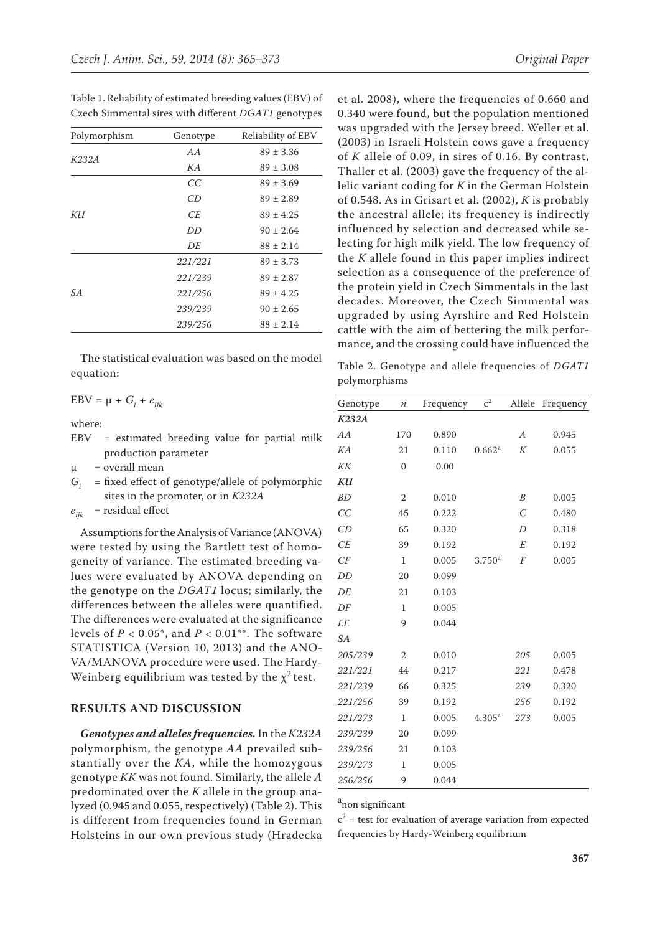| Polymorphism | Genotype | Reliability of EBV |
|--------------|----------|--------------------|
|              | AA       | $89 \pm 3.36$      |
| K232A        | KA       | $89 \pm 3.08$      |
|              | CC       | $89 \pm 3.69$      |
|              | CD       | $89 \pm 2.89$      |
| KИ           | CE.      | $89 \pm 4.25$      |
|              | DD       | $90 \pm 2.64$      |
|              | DE       | $88 \pm 2.14$      |
|              | 221/221  | $89 \pm 3.73$      |
|              | 221/239  | $89 \pm 2.87$      |
| SA           | 221/256  | $89 \pm 4.25$      |
|              | 239/239  | $90 \pm 2.65$      |
|              | 239/256  | $88 \pm 2.14$      |

Table 1. Reliability of estimated breeding values (EBV) of Czech Simmental sires with different *DGAT1* genotypes

The statistical evaluation was based on the model equation:

 $EBV = \mu + G_i + e_{ijk}$ 

where:

EBV = estimated breeding value for partial milk production parameter

 $\mu$  = overall mean

*Gi* = fixed effect of genotype/allele of polymorphic sites in the promoter, or in *K232A*

 $e_{ijk}$  = residual effect

Assumptions for the Analysis of Variance (ANOVA) were tested by using the Bartlett test of homogeneity of variance. The estimated breeding values were evaluated by ANOVA depending on the genotype on the *DGAT1* locus; similarly, the differences between the alleles were quantified. The differences were evaluated at the significance levels of  $P < 0.05^*$ , and  $P < 0.01^{**}$ . The software STATISTICA (Version 10, 2013) and the ANO-VA/MANOVA procedure were used. The Hardy-Weinberg equilibrium was tested by the  $\chi^2$  test.

## **Results and discussion**

*Genotypes and alleles frequencies.* In the *K232A* polymorphism, the genotype *AA* prevailed substantially over the *KA*, while the homozygous genotype *KK* was not found. Similarly, the allele *A* predominated over the *K* allele in the group analyzed (0.945 and 0.055, respectively) (Table 2). This is different from frequencies found in German Holsteins in our own previous study (Hradecka

et al. 2008), where the frequencies of 0.660 and 0.340 were found, but the population mentioned was upgraded with the Jersey breed. Weller et al. (2003) in Israeli Holstein cows gave a frequency of *K* allele of 0.09, in sires of 0.16. By contrast, Thaller et al. (2003) gave the frequency of the allelic variant coding for *K* in the German Holstein of 0.548. As in Grisart et al. (2002), *K* is probably the ancestral allele; its frequency is indirectly influenced by selection and decreased while selecting for high milk yield. The low frequency of the *K* allele found in this paper implies indirect selection as a consequence of the preference of the protein yield in Czech Simmentals in the last decades. Moreover, the Czech Simmental was upgraded by using Ayrshire and Red Holstein cattle with the aim of bettering the milk performance, and the crossing could have influenced the

Table 2. Genotype and allele frequencies of *DGAT1*  polymorphisms

| Genotype     | $\boldsymbol{n}$ | Frequency | c <sup>2</sup>     | Allele           | Frequency |
|--------------|------------------|-----------|--------------------|------------------|-----------|
| <b>K232A</b> |                  |           |                    |                  |           |
| AA           | 170              | 0.890     |                    | $\boldsymbol{A}$ | 0.945     |
| KA           | 21               | 0.110     | 0.662 <sup>a</sup> | К                | 0.055     |
| KK           | $\mathbf{0}$     | 0.00      |                    |                  |           |
| KU           |                  |           |                    |                  |           |
| <b>BD</b>    | $\mathbf{2}$     | 0.010     |                    | B                | 0.005     |
| CC           | 45               | 0.222     |                    | $\overline{C}$   | 0.480     |
| CD           | 65               | 0.320     |                    | D                | 0.318     |
| CE           | 39               | 0.192     |                    | E                | 0.192     |
| CF           | 1                | 0.005     | 3.750 <sup>a</sup> | F                | 0.005     |
| DD           | 20               | 0.099     |                    |                  |           |
| DE           | 21               | 0.103     |                    |                  |           |
| DF           | 1                | 0.005     |                    |                  |           |
| <b>EE</b>    | 9                | 0.044     |                    |                  |           |
| <b>SA</b>    |                  |           |                    |                  |           |
| 205/239      | $\overline{2}$   | 0.010     |                    | 205              | 0.005     |
| 221/221      | 44               | 0.217     |                    | 221              | 0.478     |
| 221/239      | 66               | 0.325     |                    | 239              | 0.320     |
| 221/256      | 39               | 0.192     |                    | 256              | 0.192     |
| 221/273      | $\mathbf{1}$     | 0.005     | $4.305^{\rm a}$    | 273              | 0.005     |
| 239/239      | 20               | 0.099     |                    |                  |           |
| 239/256      | 21               | 0.103     |                    |                  |           |
| 239/273      | $\mathbf{1}$     | 0.005     |                    |                  |           |
| 256/256      | 9                | 0.044     |                    |                  |           |

a non significant

 $c<sup>2</sup>$  = test for evaluation of average variation from expected frequencies by Hardy-Weinberg equilibrium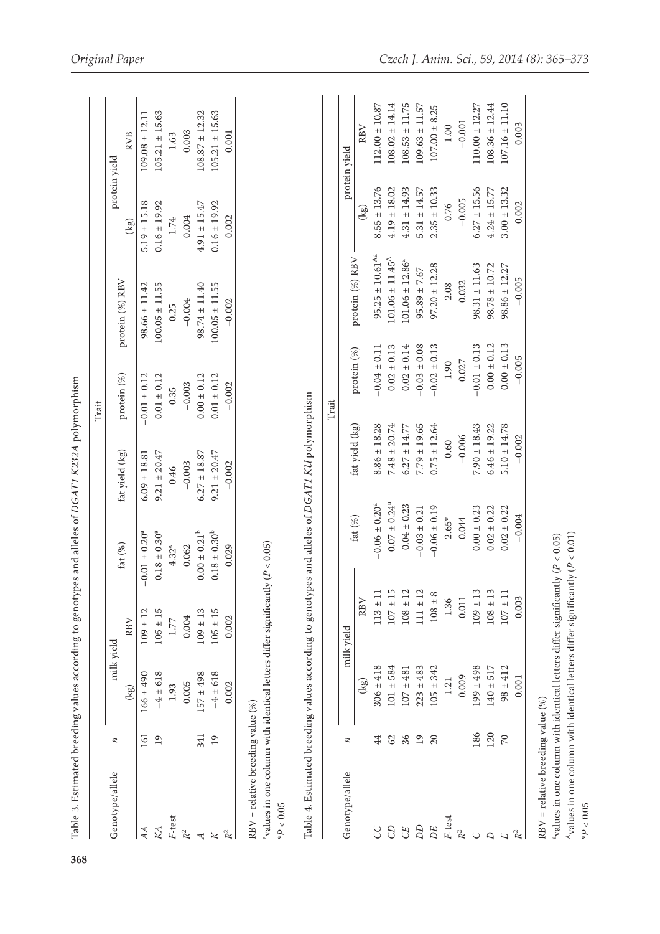| $\mathbf z$<br>Genotype/allele                                                      | milk vield    |              |                               |                                         |                  |                                 |                  |                  |                    |
|-------------------------------------------------------------------------------------|---------------|--------------|-------------------------------|-----------------------------------------|------------------|---------------------------------|------------------|------------------|--------------------|
|                                                                                     |               |              |                               | fat yield (kg)                          |                  |                                 |                  | protein yield    |                    |
|                                                                                     | (kg)          | RBV          | fat $(\%)$                    |                                         | protein (%)      | protein (%) RBV                 | (kg)             |                  | <b>RVB</b>         |
| 161<br>AA                                                                           | $166 \pm 490$ | $109 \pm 12$ | $-0.01 \pm 0.20^4$            | $6.09 \pm 18.81$                        | $-0.01 \pm 0.12$ | $98.66 \pm 11.42$               | $5.19 \pm 15.18$ |                  | $109.08 \pm 12.11$ |
| 19<br>KA                                                                            | $-4 \pm 618$  | $105 \pm 15$ | $0.18 \pm 0.30^a$             | $9.21 \pm 20.47$                        | $0.01 \pm 0.12$  | $100.05 \pm 11.55$              | $0.16 \pm 19.92$ |                  | $105.21 \pm 15.63$ |
| F-test                                                                              | 1.93          | 1.77         | $4.32*$                       | 0.46                                    | 0.35             | 0.25                            | $1.74\,$         |                  | 1.63               |
| $\mathbb{R}^2$                                                                      | 0.005         | 0.004        | 0.062                         | $-0.003$                                | $-0.003$         | $-0.004$                        | 0.004            |                  | 0.003              |
| 341<br>$\prec$                                                                      | $157 \pm 498$ | $109 \pm 13$ | $0.00 \pm 0.21^b$             | $6.27 \pm 18.87$                        | $0.00 \pm 0.12$  | $98.74 \pm 11.40$               | $4.91 \pm 15.47$ |                  | $108.87 \pm 12.32$ |
| $\overline{19}$<br>$\boldsymbol{\times}$                                            | $-4 \pm 618$  | $105 \pm 15$ | $0.18\pm0.30^{\mathrm{b}}$    | $9.21 \pm 20.47$                        | $0.01 \pm 0.12$  | $100.05 \pm 11.55$              | $0.16 \pm 19.92$ |                  | $105.21 \pm 15.63$ |
| $\mathbb{R}^2$                                                                      | 0.002         | 0.002        | 0.029                         | $-0.002$                                | $-0.002$         | $-0.002$                        | 0.002            |                  | 0.001              |
| $RBV$ = relative breeding value (%)                                                 |               |              |                               |                                         |                  |                                 |                  |                  |                    |
| $4$ values in one column with identical letters differ significantly ( $P < 0.05$ ) |               |              |                               |                                         |                  |                                 |                  |                  |                    |
| Table 4. Estimated breeding values according to genotyp<br>${}^*P<0.05$             |               |              |                               | es and alleles of DGAT1 KU polymorphism |                  |                                 |                  |                  |                    |
|                                                                                     |               |              |                               |                                         | Trait            |                                 |                  |                  |                    |
| z<br>Genotype/allele                                                                |               | milk yield   |                               |                                         |                  |                                 |                  | protein yield    |                    |
|                                                                                     | (kg)          | RBV          | fat $(\%)$                    | fat yield (kg)                          | protein (%)      | protein (%) RBV                 |                  | (kg)             | RBV                |
| 44<br>CC                                                                            | $306 \pm 418$ | $113 \pm 11$ | $-0.06 \pm 0.20$ <sup>a</sup> | $8.86 \pm 18.28$                        | $-0.04 \pm 0.11$ | $95.25 \pm 10.61$ <sup>Aa</sup> |                  | $8.55 \pm 13.76$ | $12.00 \pm 10.87$  |
| 62<br>C <sub>D</sub>                                                                | $101 \pm 584$ | $107 \pm 15$ | $0.07 \pm 0.24$ <sup>a</sup>  | $7.48 \pm 20.74$                        | $0.02 \pm 0.13$  | $101.06 \pm 11.45^{\text{A}}$   |                  | $4.19 \pm 18.02$ | $108.02 \pm 14.14$ |
| 36<br><b>CE</b>                                                                     | $107 + 481$   | $108 \pm 12$ | $0.04 \pm 0.23$               | $6.27 \pm 14.77$                        | $0.02 \pm 0.14$  | $101.06 \pm 12.86^a$            |                  | $4.31 \pm 14.93$ | $108.53 \pm 11.75$ |
| $\overline{19}$<br><b>DD</b>                                                        | $223 \pm 483$ | $111 \pm 12$ | $-0.03 \pm 0.21$              | $7.79 \pm 19.65$                        | $-0.03 \pm 0.08$ | $95.89 \pm 7.67$                |                  | $5.31 \pm 14.57$ | $109.63 \pm 11.57$ |
| 20<br>DE                                                                            | $105 \pm 342$ | $108 \pm 8$  | $-0.06 \pm 0.19$              | $0.75 \pm 12.64$                        | $-0.02 \pm 0.13$ | $97.20 \pm 12.28$               |                  | $2.35 \pm 10.33$ | $107.00 \pm 8.25$  |
| F-test                                                                              | 1.21          | 1.36         | $2.65*$                       | 0.60                                    | $1.90\,$         | 2.08                            |                  | 0.76             | $1.00\,$           |
| $\mathbb{R}^2$                                                                      | 0.009         | 0.011        | 0.044                         | $-0.006$                                | 0.027            | 0.032                           |                  | $-0.005$         | $-0.001$           |
| 186<br>$\bigcirc$                                                                   | $199 \pm 498$ | $109 \pm 13$ | $0.00 \pm 0.23$               | $7.90 \pm 18.43$                        | $-0.01 \pm 0.13$ | $98.31 \pm 11.63$               |                  | $6.27 \pm 15.56$ | $110.00 \pm 12.27$ |
| 120<br>Δ                                                                            | $140 \pm 517$ | $108 \pm 13$ | $0.02 \pm 0.22$               | $6.46 \pm 19.22$                        | $0.00 \pm 0.12$  | $98.78 \pm 10.72$               |                  | $4.24 \pm 15.77$ | $108.36 \pm 12.44$ |
| $\overline{C}$<br>E                                                                 | $98 \pm 412$  | $107\pm11$   | $0.02 \pm 0.22$               | $5.10 \pm 14.78$                        | $0.00 \pm 0.13$  | $98.86 \pm 12.27$               |                  | $3.00 \pm 13.32$ | $107.16 \pm 11.10$ |
| $\ensuremath{\mathbb{R}}^2$                                                         | 0.001         | 0.003        | $-0.004$                      | $-0.002$                                | $-0.005$         | $-0.005$                        |                  | 0.002            | 0.003              |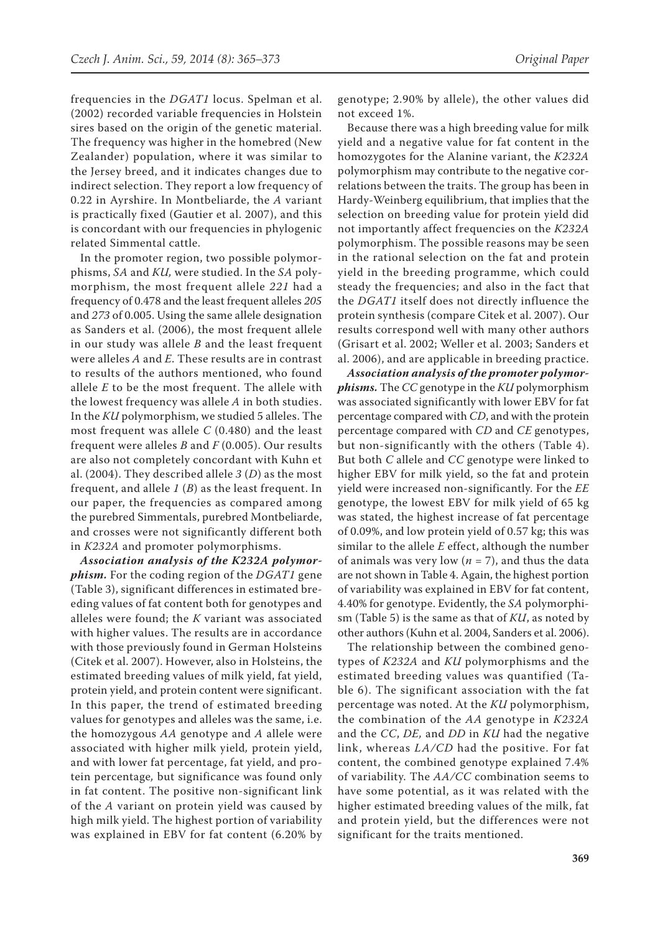frequencies in the *DGAT1* locus. Spelman et al. (2002) recorded variable frequencies in Holstein sires based on the origin of the genetic material. The frequency was higher in the homebred (New Zealander) population, where it was similar to the Jersey breed, and it indicates changes due to indirect selection. They report a low frequency of 0.22 in Ayrshire. In Montbeliarde, the *A* variant is practically fixed (Gautier et al. 2007), and this is concordant with our frequencies in phylogenic related Simmental cattle.

In the promoter region, two possible polymorphisms, *SA* and *KU,* were studied. In the *SA* polymorphism, the most frequent allele *221* had a frequency of 0.478 and the least frequent alleles *205* and *273* of 0.005. Using the same allele designation as Sanders et al. (2006), the most frequent allele in our study was allele *B* and the least frequent were alleles *A* and *E*. These results are in contrast to results of the authors mentioned, who found allele *E* to be the most frequent. The allele with the lowest frequency was allele *A* in both studies. In the *KU* polymorphism, we studied 5 alleles. The most frequent was allele *C* (0.480) and the least frequent were alleles *B* and *F* (0.005). Our results are also not completely concordant with Kuhn et al. (2004). They described allele *3* (*D*) as the most frequent, and allele *1* (*B*) as the least frequent. In our paper, the frequencies as compared among the purebred Simmentals, purebred Montbeliarde, and crosses were not significantly different both in *K232A* and promoter polymorphisms.

*Association analysis of the K232A polymorphism.* For the coding region of the *DGAT1* gene (Table 3), significant differences in estimated breeding values of fat content both for genotypes and alleles were found; the *K* variant was associated with higher values. The results are in accordance with those previously found in German Holsteins (Citek et al. 2007). However, also in Holsteins, the estimated breeding values of milk yield, fat yield, protein yield, and protein content were significant. In this paper, the trend of estimated breeding values for genotypes and alleles was the same, i.e. the homozygous *AA* genotype and *A* allele were associated with higher milk yield*,* protein yield, and with lower fat percentage, fat yield, and protein percentage*,* but significance was found only in fat content. The positive non-significant link of the *A* variant on protein yield was caused by high milk yield. The highest portion of variability was explained in EBV for fat content (6.20% by

genotype; 2.90% by allele), the other values did not exceed 1%.

Because there was a high breeding value for milk yield and a negative value for fat content in the homozygotes for the Alanine variant, the *K232A* polymorphism may contribute to the negative correlations between the traits. The group has been in Hardy-Weinberg equilibrium, that implies that the selection on breeding value for protein yield did not importantly affect frequencies on the *K232A* polymorphism. The possible reasons may be seen in the rational selection on the fat and protein yield in the breeding programme, which could steady the frequencies; and also in the fact that the *DGAT1* itself does not directly influence the protein synthesis (compare Citek et al. 2007). Our results correspond well with many other authors (Grisart et al. 2002; Weller et al. 2003; Sanders et al. 2006), and are applicable in breeding practice.

*Association analysis of the promoter polymorphisms.* The *CC* genotype in the *KU* polymorphism was associated significantly with lower EBV for fat percentage compared with *CD*, and with the protein percentage compared with *CD* and *CE* genotypes, but non-significantly with the others (Table 4). But both *C* allele and *CC* genotype were linked to higher EBV for milk yield, so the fat and protein yield were increased non-significantly. For the *EE* genotype, the lowest EBV for milk yield of 65 kg was stated, the highest increase of fat percentage of 0.09%, and low protein yield of 0.57 kg; this was similar to the allele *E* effect, although the number of animals was very low ( $n = 7$ ), and thus the data are not shown in Table 4. Again, the highest portion of variability was explained in EBV for fat content, 4.40% for genotype. Evidently, the *SA* polymorphism (Table 5) is the same as that of *KU*, as noted by other authors (Kuhn et al. 2004, Sanders et al. 2006).

The relationship between the combined genotypes of *K232A* and *KU* polymorphisms and the estimated breeding values was quantified (Table 6). The significant association with the fat percentage was noted. At the *KU* polymorphism, the combination of the *AA* genotype in *K232A* and the *CC*, *DE,* and *DD* in *KU* had the negative link, whereas *LA/CD* had the positive. For fat content, the combined genotype explained 7.4% of variability. The *AA/CC* combination seems to have some potential, as it was related with the higher estimated breeding values of the milk, fat and protein yield, but the differences were not significant for the traits mentioned.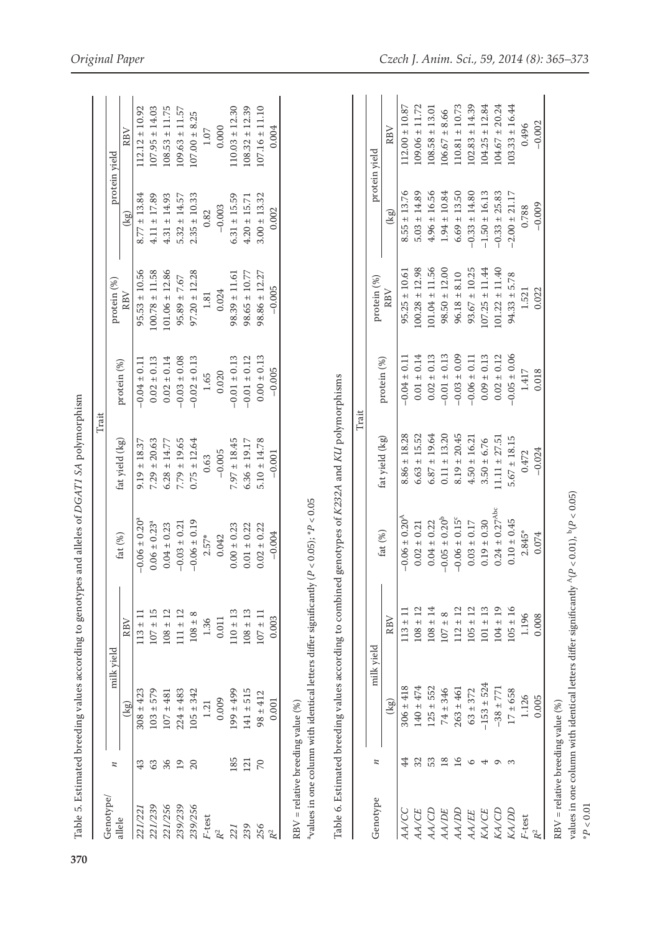| Table 6. Estimated breeding values according to combined genotypes of K232A and KU polymorphisms<br>avalues in one column with identical letters differ significantly<br>$108 \pm 14$<br>$108 \pm 12$<br>$113 \pm 11$<br>$107 \pm 15$<br>$110 \pm 13$<br>$108 \pm 13$<br>$108 \pm 12$<br>$111 \pm 12$<br>$107 \pm 11$<br>$113 \pm 11$<br>$108 \pm 8$<br>RBV<br>0.011<br>0.003<br>1.36<br>RBV<br>milk yield<br>milk yield<br>$140 + 474$<br>$306 \pm 418$<br>$125 + 552$<br>$103 + 579$<br>$199 \pm 499$<br>$141 + 515$<br>$308 \pm 423$<br>$224 \pm 483$<br>$105 \pm 342$<br>$107 \pm 481$<br>$98 + 412$<br>0.009<br>0.001<br>$\left(\frac{1}{2}\right)$<br>1.21<br>$RBV =$ relative breeding value $(\%)$<br>(kg)<br>185<br>53<br>4<br>32<br>121<br>$\overline{C}$<br>36<br>19<br>20<br>63<br>z<br>43<br>и<br>Genotype/<br>Genotype<br>221/239<br>221/256<br>239/239<br>239/256<br>221/221<br><b>AA/CC</b><br><b>AA/CD</b><br><b>AA/CE</b><br>F-test<br>allele<br>239<br>256<br>221<br>$\mathbb{R}^2$<br>$\mathbb{R}^2$ | $(P < 0.05); *P < 0.05$<br>$-0.06 \pm 0.20^{\circ}$<br>$-0.06 \pm 0.19$<br>$0.06 \pm 0.23$ <sup>a</sup><br>$-0.03 \pm 0.21$<br>$0.04 \pm 0.23$<br>$0.00 \pm 0.23$<br>$0.01 \pm 0.22$<br>$0.02 \pm 0.22$<br>$-0.004$<br>fat $(\%)$<br>$2.57*$<br>0.042 | $0.75 \pm 12.64$<br>$7.97 \pm 18.45$<br>$5.10 \pm 14.78$<br>$7.29 \pm 20.63$<br>$7.79 \pm 19.65$<br>$6.36 \pm 19.17$<br>fat yield (kg)<br>$6.28 \pm 14.77$<br>$9.19 \pm 18.37$<br>$-0.005$<br>$-0.001$<br>0.63 | $0.00 \pm 0.13$<br>$-0.01 \pm 0.13$<br>$0.02 \pm 0.14$<br>$-0.03 \pm 0.08$<br>$-0.02 \pm 0.13$<br>$-0.01 \pm 0.12$<br>$0.02 \pm 0.13$<br>$-0.04 \pm 0.11$<br>protein (%)<br>$-0.005$<br>0.020<br>$1.65$ | $100.78 \pm 11.58$<br>$101.06 \pm 12.86$<br>$95.53 \pm 10.56$<br>$97.20 \pm 12.28$<br>$98.86 \pm 12.27$<br>$98.39 \pm 11.61$<br>$98.65 \pm 10.77$<br>$95.89 \pm 7.67$<br>protein (%)<br>$-0.005$<br>0.024<br>RBV<br>1.81 | $8.77 \pm 13.84$<br>$4.11 \pm 17.89$<br>$4.31 \pm 14.93$<br>$3.00 \pm 13.32$<br>$2.35 \pm 10.33$<br>$6.31 \pm 15.59$<br>$5.32 \pm 14.57$<br>$4.20 \pm 15.71$<br>$-0.003$<br>0.002<br>0.82 | $107.16 \pm 11.10$<br>$112.12 \pm 10.92$<br>$107.95 \pm 14.03$<br>$108.53 \pm 11.75$<br>$110.03 \pm 12.30$<br>$108.32 \pm 12.39$<br>$109.63 \pm 11.57$<br>$107.00 \pm 8.25$<br>0.000<br>0.004<br>1.07<br>RBV<br>protein yield |
|--------------------------------------------------------------------------------------------------------------------------------------------------------------------------------------------------------------------------------------------------------------------------------------------------------------------------------------------------------------------------------------------------------------------------------------------------------------------------------------------------------------------------------------------------------------------------------------------------------------------------------------------------------------------------------------------------------------------------------------------------------------------------------------------------------------------------------------------------------------------------------------------------------------------------------------------------------------------------------------------------------------------------|-------------------------------------------------------------------------------------------------------------------------------------------------------------------------------------------------------------------------------------------------------|----------------------------------------------------------------------------------------------------------------------------------------------------------------------------------------------------------------|---------------------------------------------------------------------------------------------------------------------------------------------------------------------------------------------------------|--------------------------------------------------------------------------------------------------------------------------------------------------------------------------------------------------------------------------|-------------------------------------------------------------------------------------------------------------------------------------------------------------------------------------------|-------------------------------------------------------------------------------------------------------------------------------------------------------------------------------------------------------------------------------|
|                                                                                                                                                                                                                                                                                                                                                                                                                                                                                                                                                                                                                                                                                                                                                                                                                                                                                                                                                                                                                          |                                                                                                                                                                                                                                                       |                                                                                                                                                                                                                |                                                                                                                                                                                                         |                                                                                                                                                                                                                          |                                                                                                                                                                                           |                                                                                                                                                                                                                               |
|                                                                                                                                                                                                                                                                                                                                                                                                                                                                                                                                                                                                                                                                                                                                                                                                                                                                                                                                                                                                                          |                                                                                                                                                                                                                                                       |                                                                                                                                                                                                                |                                                                                                                                                                                                         |                                                                                                                                                                                                                          |                                                                                                                                                                                           |                                                                                                                                                                                                                               |
|                                                                                                                                                                                                                                                                                                                                                                                                                                                                                                                                                                                                                                                                                                                                                                                                                                                                                                                                                                                                                          |                                                                                                                                                                                                                                                       |                                                                                                                                                                                                                |                                                                                                                                                                                                         |                                                                                                                                                                                                                          |                                                                                                                                                                                           |                                                                                                                                                                                                                               |
|                                                                                                                                                                                                                                                                                                                                                                                                                                                                                                                                                                                                                                                                                                                                                                                                                                                                                                                                                                                                                          |                                                                                                                                                                                                                                                       |                                                                                                                                                                                                                |                                                                                                                                                                                                         |                                                                                                                                                                                                                          |                                                                                                                                                                                           |                                                                                                                                                                                                                               |
|                                                                                                                                                                                                                                                                                                                                                                                                                                                                                                                                                                                                                                                                                                                                                                                                                                                                                                                                                                                                                          |                                                                                                                                                                                                                                                       |                                                                                                                                                                                                                |                                                                                                                                                                                                         |                                                                                                                                                                                                                          |                                                                                                                                                                                           |                                                                                                                                                                                                                               |
|                                                                                                                                                                                                                                                                                                                                                                                                                                                                                                                                                                                                                                                                                                                                                                                                                                                                                                                                                                                                                          |                                                                                                                                                                                                                                                       |                                                                                                                                                                                                                |                                                                                                                                                                                                         |                                                                                                                                                                                                                          |                                                                                                                                                                                           |                                                                                                                                                                                                                               |
|                                                                                                                                                                                                                                                                                                                                                                                                                                                                                                                                                                                                                                                                                                                                                                                                                                                                                                                                                                                                                          |                                                                                                                                                                                                                                                       |                                                                                                                                                                                                                |                                                                                                                                                                                                         |                                                                                                                                                                                                                          |                                                                                                                                                                                           |                                                                                                                                                                                                                               |
|                                                                                                                                                                                                                                                                                                                                                                                                                                                                                                                                                                                                                                                                                                                                                                                                                                                                                                                                                                                                                          |                                                                                                                                                                                                                                                       |                                                                                                                                                                                                                |                                                                                                                                                                                                         |                                                                                                                                                                                                                          |                                                                                                                                                                                           |                                                                                                                                                                                                                               |
|                                                                                                                                                                                                                                                                                                                                                                                                                                                                                                                                                                                                                                                                                                                                                                                                                                                                                                                                                                                                                          |                                                                                                                                                                                                                                                       |                                                                                                                                                                                                                |                                                                                                                                                                                                         |                                                                                                                                                                                                                          |                                                                                                                                                                                           |                                                                                                                                                                                                                               |
|                                                                                                                                                                                                                                                                                                                                                                                                                                                                                                                                                                                                                                                                                                                                                                                                                                                                                                                                                                                                                          |                                                                                                                                                                                                                                                       |                                                                                                                                                                                                                |                                                                                                                                                                                                         |                                                                                                                                                                                                                          |                                                                                                                                                                                           |                                                                                                                                                                                                                               |
|                                                                                                                                                                                                                                                                                                                                                                                                                                                                                                                                                                                                                                                                                                                                                                                                                                                                                                                                                                                                                          |                                                                                                                                                                                                                                                       |                                                                                                                                                                                                                |                                                                                                                                                                                                         |                                                                                                                                                                                                                          |                                                                                                                                                                                           |                                                                                                                                                                                                                               |
|                                                                                                                                                                                                                                                                                                                                                                                                                                                                                                                                                                                                                                                                                                                                                                                                                                                                                                                                                                                                                          |                                                                                                                                                                                                                                                       |                                                                                                                                                                                                                |                                                                                                                                                                                                         |                                                                                                                                                                                                                          |                                                                                                                                                                                           |                                                                                                                                                                                                                               |
|                                                                                                                                                                                                                                                                                                                                                                                                                                                                                                                                                                                                                                                                                                                                                                                                                                                                                                                                                                                                                          |                                                                                                                                                                                                                                                       |                                                                                                                                                                                                                |                                                                                                                                                                                                         |                                                                                                                                                                                                                          |                                                                                                                                                                                           |                                                                                                                                                                                                                               |
|                                                                                                                                                                                                                                                                                                                                                                                                                                                                                                                                                                                                                                                                                                                                                                                                                                                                                                                                                                                                                          | fat $(\%)$                                                                                                                                                                                                                                            | fat yield (kg)                                                                                                                                                                                                 | protein (%)                                                                                                                                                                                             | protein (%)                                                                                                                                                                                                              |                                                                                                                                                                                           | protein yield                                                                                                                                                                                                                 |
|                                                                                                                                                                                                                                                                                                                                                                                                                                                                                                                                                                                                                                                                                                                                                                                                                                                                                                                                                                                                                          |                                                                                                                                                                                                                                                       |                                                                                                                                                                                                                |                                                                                                                                                                                                         | RBV                                                                                                                                                                                                                      | $\left(\frac{1}{2}S\right)$                                                                                                                                                               | RBV                                                                                                                                                                                                                           |
|                                                                                                                                                                                                                                                                                                                                                                                                                                                                                                                                                                                                                                                                                                                                                                                                                                                                                                                                                                                                                          | $-0.06 \pm 0.20^4$                                                                                                                                                                                                                                    | $8.86 \pm 18.28$                                                                                                                                                                                               | $-0.04 \pm 0.11$                                                                                                                                                                                        | $95.25 \pm 10.61$                                                                                                                                                                                                        | $8.55 \pm 13.76$                                                                                                                                                                          | $112.00 \pm 10.87$                                                                                                                                                                                                            |
|                                                                                                                                                                                                                                                                                                                                                                                                                                                                                                                                                                                                                                                                                                                                                                                                                                                                                                                                                                                                                          | $0.02 \pm 0.21$                                                                                                                                                                                                                                       | $6.63 \pm 15.52$                                                                                                                                                                                               | $0.01 \pm 0.14$                                                                                                                                                                                         | $100.28 \pm 12.98$                                                                                                                                                                                                       | $5.03 \pm 14.89$                                                                                                                                                                          | $109.06 \pm 11.72$                                                                                                                                                                                                            |
|                                                                                                                                                                                                                                                                                                                                                                                                                                                                                                                                                                                                                                                                                                                                                                                                                                                                                                                                                                                                                          | $0.04 \pm 0.22$                                                                                                                                                                                                                                       | $6.87 \pm 19.64$                                                                                                                                                                                               | $0.02 \pm 0.13$                                                                                                                                                                                         | $101.04 \pm 11.56$                                                                                                                                                                                                       | $4.96 \pm 16.56$                                                                                                                                                                          | $108.58 \pm 13.01$                                                                                                                                                                                                            |
| $107 + 8$<br>$74 \pm 346$<br>18<br><b>AA/DE</b>                                                                                                                                                                                                                                                                                                                                                                                                                                                                                                                                                                                                                                                                                                                                                                                                                                                                                                                                                                          | $-0.05 \pm 0.20^b$                                                                                                                                                                                                                                    | $0.11 \pm 13.20$                                                                                                                                                                                               | $-0.01 \pm 0.13$                                                                                                                                                                                        | $98.50 \pm 12.00$                                                                                                                                                                                                        | $1.94 \pm 10.84$                                                                                                                                                                          | $106.67 \pm 8.66$                                                                                                                                                                                                             |
| $112 \pm 12$<br>$263 \pm 461$<br>16<br><b>AA/DD</b>                                                                                                                                                                                                                                                                                                                                                                                                                                                                                                                                                                                                                                                                                                                                                                                                                                                                                                                                                                      | $-0.06 \pm 0.15^{\circ}$                                                                                                                                                                                                                              | $8.19 \pm 20.45$                                                                                                                                                                                               | $-0.03 \pm 0.09$                                                                                                                                                                                        | $96.18 \pm 8.10$                                                                                                                                                                                                         | $6.69 \pm 13.50$                                                                                                                                                                          | $110.81 \pm 10.73$                                                                                                                                                                                                            |
| $105 \pm 12$<br>$63 \pm 372$<br>$\circ$<br><b>AA/EE</b>                                                                                                                                                                                                                                                                                                                                                                                                                                                                                                                                                                                                                                                                                                                                                                                                                                                                                                                                                                  | $0.03\pm0.17$                                                                                                                                                                                                                                         | $4.50 \pm 16.21$                                                                                                                                                                                               | $-0.06 \pm 0.11$                                                                                                                                                                                        | $93.67 \pm 10.25$                                                                                                                                                                                                        | $-0.33 \pm 14.80$                                                                                                                                                                         | $102.83 \pm 14.39$                                                                                                                                                                                                            |
| $101 \pm 13$<br>$-153 \pm 524$<br>4<br>KA/CE                                                                                                                                                                                                                                                                                                                                                                                                                                                                                                                                                                                                                                                                                                                                                                                                                                                                                                                                                                             | $0.19 \pm 0.30$                                                                                                                                                                                                                                       | $3.50 \pm 6.76$                                                                                                                                                                                                | $0.09 \pm 0.13$                                                                                                                                                                                         | $107.25 \pm 11.44$                                                                                                                                                                                                       | $-1.50 \pm 16.13$                                                                                                                                                                         | $104.25 \pm 12.84$                                                                                                                                                                                                            |
| $104 \pm 19$<br>$-38 \pm 771$<br>$\sigma$ $\omega$<br>KA/CD                                                                                                                                                                                                                                                                                                                                                                                                                                                                                                                                                                                                                                                                                                                                                                                                                                                                                                                                                              | $0.24 \pm 0.27$ <sup>Abc</sup>                                                                                                                                                                                                                        | $11.11 \pm 27.51$                                                                                                                                                                                              | $0.02 \pm 0.12$                                                                                                                                                                                         | $101.22 \pm 11.40$                                                                                                                                                                                                       | $-0.33 \pm 25.83$                                                                                                                                                                         | $104.67 \pm 20.24$                                                                                                                                                                                                            |
| $105 \pm 16$<br>$17 \pm 658$<br>KA/DD                                                                                                                                                                                                                                                                                                                                                                                                                                                                                                                                                                                                                                                                                                                                                                                                                                                                                                                                                                                    | $0.10 \pm 0.45$                                                                                                                                                                                                                                       | $5.67 \pm 18.15$                                                                                                                                                                                               | $-0.05 \pm 0.06$                                                                                                                                                                                        | $94.33 \pm 5.78$                                                                                                                                                                                                         | $-2.00 \pm 21.17$                                                                                                                                                                         | $103.33 \pm 16.44$                                                                                                                                                                                                            |
| 1.196<br>1.126<br>$F$ -test                                                                                                                                                                                                                                                                                                                                                                                                                                                                                                                                                                                                                                                                                                                                                                                                                                                                                                                                                                                              | $2.845*$                                                                                                                                                                                                                                              | 0.472                                                                                                                                                                                                          | 1.417                                                                                                                                                                                                   | 1.521                                                                                                                                                                                                                    | 0.788                                                                                                                                                                                     | 0.496                                                                                                                                                                                                                         |
| 0.008<br>0.005<br>$\ensuremath{\mathnormal{R}}^2$                                                                                                                                                                                                                                                                                                                                                                                                                                                                                                                                                                                                                                                                                                                                                                                                                                                                                                                                                                        | 0.074                                                                                                                                                                                                                                                 | $-0.024$                                                                                                                                                                                                       | 0.018                                                                                                                                                                                                   | 0.022                                                                                                                                                                                                                    | $-0.009$                                                                                                                                                                                  | $-0.002$                                                                                                                                                                                                                      |

**370**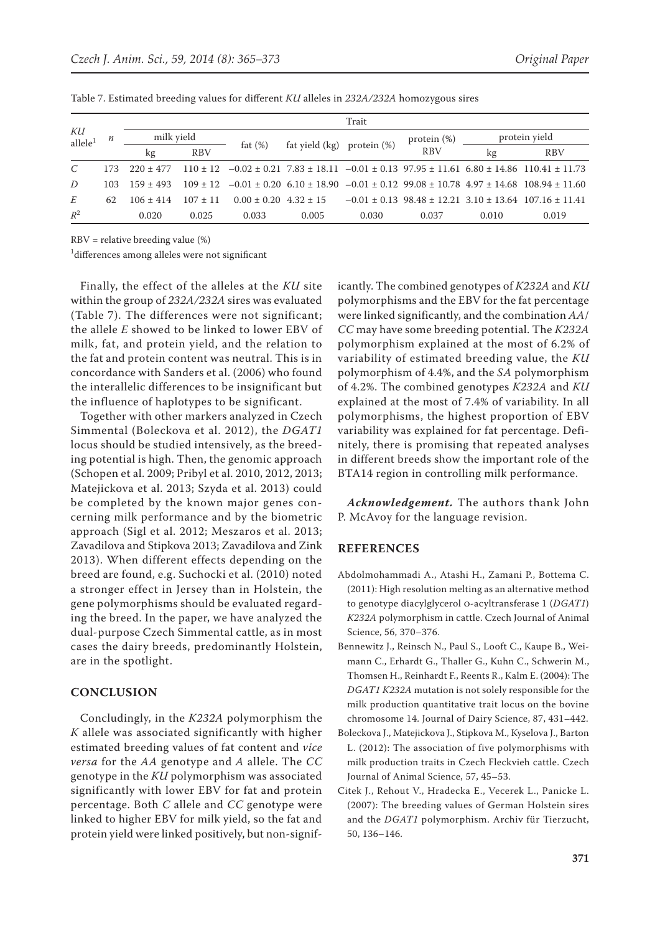|                           |      | Trait       |            |                         |                |                |                |       |                                                                                                          |  |
|---------------------------|------|-------------|------------|-------------------------|----------------|----------------|----------------|-------|----------------------------------------------------------------------------------------------------------|--|
| КU<br>allele <sup>1</sup> | n    | milk vield  |            |                         |                |                | protein $(\%)$ |       | protein yield                                                                                            |  |
|                           |      | kg          | <b>RBV</b> | fat $(\%)$              | fat yield (kg) | protein $(\%)$ | <b>RBV</b>     | kg    | <b>RBV</b>                                                                                               |  |
| $\mathcal{C}$             | 173. | $220 + 477$ | $110 + 12$ |                         |                |                |                |       | $-0.02 \pm 0.21$ 7.83 $\pm$ 18.11 $-0.01 \pm 0.13$ 97.95 $\pm$ 11.61 6.80 $\pm$ 14.86 110.41 $\pm$ 11.73 |  |
| D                         | 103  | $159 + 493$ | $109 + 12$ |                         |                |                |                |       | $-0.01 \pm 0.20$ 6.10 $\pm$ 18.90 $-0.01 \pm 0.12$ 99.08 $\pm$ 10.78 4.97 $\pm$ 14.68 108.94 $\pm$ 11.60 |  |
| E                         | 62   | $106 + 414$ | $107 + 11$ | $0.00 + 0.20 + 32 + 15$ |                |                |                |       | $-0.01 \pm 0.13$ 98.48 $\pm$ 12.21 3.10 $\pm$ 13.64 107.16 $\pm$ 11.41                                   |  |
| $R^2$                     |      | 0.020       | 0.025      | 0.033                   | 0.005          | 0.030          | 0.037          | 0.010 | 0.019                                                                                                    |  |

Table 7. Estimated breeding values for different *KU* alleles in *232A/232A* homozygous sires

RBV = relative breeding value (%)

1 differences among alleles were not significant

Finally, the effect of the alleles at the *KU* site within the group of *232A/232A* sires was evaluated (Table 7). The differences were not significant; the allele *E* showed to be linked to lower EBV of milk, fat, and protein yield, and the relation to the fat and protein content was neutral. This is in concordance with Sanders et al. (2006) who found the interallelic differences to be insignificant but the influence of haplotypes to be significant.

Together with other markers analyzed in Czech Simmental (Boleckova et al. 2012), the *DGAT1* locus should be studied intensively, as the breeding potential is high. Then, the genomic approach (Schopen et al. 2009; Pribyl et al. 2010, 2012, 2013; Matejickova et al. 2013; Szyda et al. 2013) could be completed by the known major genes concerning milk performance and by the biometric approach (Sigl et al. 2012; Meszaros et al. 2013; Zavadilova and Stipkova 2013; Zavadilova and Zink 2013). When different effects depending on the breed are found, e.g. Suchocki et al. (2010) noted a stronger effect in Jersey than in Holstein, the gene polymorphisms should be evaluated regarding the breed. In the paper, we have analyzed the dual-purpose Czech Simmental cattle, as in most cases the dairy breeds, predominantly Holstein, are in the spotlight.

## **Conclusion**

Concludingly, in the *K232A* polymorphism the *K* allele was associated significantly with higher estimated breeding values of fat content and *vice versa* for the *AA* genotype and *A* allele. The *CC* genotype in the *KU* polymorphism was associated significantly with lower EBV for fat and protein percentage. Both *C* allele and *CC* genotype were linked to higher EBV for milk yield, so the fat and protein yield were linked positively, but non-significantly. The combined genotypes of *K232A* and *KU* polymorphisms and the EBV for the fat percentage were linked significantly, and the combination *AA*/ *CC* may have some breeding potential. The *K232A* polymorphism explained at the most of 6.2% of variability of estimated breeding value, the *KU* polymorphism of 4.4%, and the *SA* polymorphism of 4.2%. The combined genotypes *K232A* and *KU* explained at the most of 7.4% of variability. In all polymorphisms, the highest proportion of EBV variability was explained for fat percentage. Definitely, there is promising that repeated analyses in different breeds show the important role of the BTA14 region in controlling milk performance.

*Acknowledgement.* The authors thank John P. McAvoy for the language revision.

#### **References**

- Abdolmohammadi A., Atashi H., Zamani P., Bottema C. (2011): High resolution melting as an alternative method to genotype diacylglycerol o-acyltransferase 1 (*DGAT1*) *K232A* polymorphism in cattle. Czech Journal of Animal Science, 56, 370–376.
- Bennewitz J., Reinsch N., Paul S., Looft C., Kaupe B., Weimann C., Erhardt G., Thaller G., Kuhn C., Schwerin M., Thomsen H., Reinhardt F., Reents R., Kalm E. (2004): The *DGAT1 K232A* mutation is not solely responsible for the milk production quantitative trait locus on the bovine chromosome 14. Journal of Dairy Science, 87, 431–442.
- Boleckova J., Matejickova J., Stipkova M., Kyselova J., Barton L. (2012): The association of five polymorphisms with milk production traits in Czech Fleckvieh cattle. Czech Journal of Animal Science, 57, 45–53.
- Citek J., Rehout V., Hradecka E., Vecerek L., Panicke L. (2007): The breeding values of German Holstein sires and the *DGAT1* polymorphism. Archiv für Tierzucht, 50, 136–146.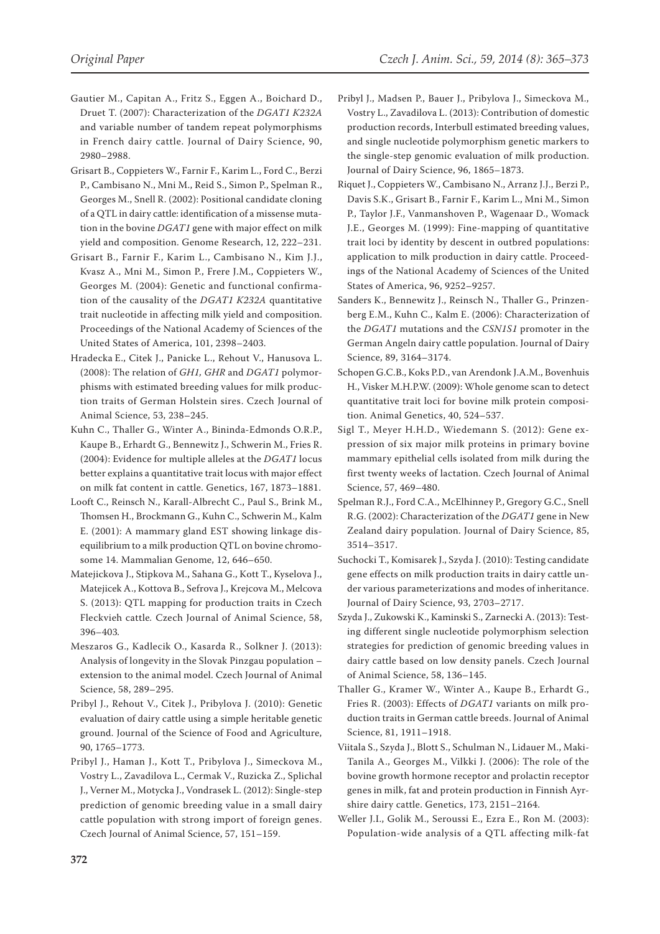- Gautier M., Capitan A., Fritz S., Eggen A., Boichard D., Druet T. (2007): Characterization of the *DGAT1 K232A* and variable number of tandem repeat polymorphisms in French dairy cattle. Journal of Dairy Science, 90, 2980–2988.
- Grisart B., Coppieters W., Farnir F., Karim L., Ford C., Berzi P., Cambisano N., Mni M., Reid S., Simon P., Spelman R., Georges M., Snell R. (2002): Positional candidate cloning of a QTL in dairy cattle: identification of a missense mutation in the bovine *DGAT1* gene with major effect on milk yield and composition. Genome Research, 12, 222–231.
- Grisart B., Farnir F., Karim L., Cambisano N., Kim J.J., Kvasz A., Mni M., Simon P., Frere J.M., Coppieters W., Georges M. (2004): Genetic and functional confirmation of the causality of the *DGAT1 K232A* quantitative trait nucleotide in affecting milk yield and composition. Proceedings of the National Academy of Sciences of the United States of America, 101, 2398–2403.
- Hradecka E., Citek J., Panicke L., Rehout V., Hanusova L. (2008): The relation of *GH1, GHR* and *DGAT1* polymorphisms with estimated breeding values for milk production traits of German Holstein sires. Czech Journal of Animal Science, 53, 238–245.
- Kuhn C., Thaller G., Winter A., Bininda-Edmonds O.R.P., Kaupe B., Erhardt G., Bennewitz J., Schwerin M., Fries R. (2004): Evidence for multiple alleles at the *DGAT1* locus better explains a quantitative trait locus with major effect on milk fat content in cattle. Genetics, 167, 1873–1881.
- [Looft C.,](http://www.scopus.com/authid/detail.url?authorId=7003768172&eid=2-s2.0-17844375940) [Reinsch N.](http://www.scopus.com/authid/detail.url?authorId=7004606919&eid=2-s2.0-17844375940), [Karall-Albrecht C.](http://www.scopus.com/authid/detail.url?authorId=6506419085&eid=2-s2.0-17844375940), [Paul S.](http://www.scopus.com/authid/detail.url?authorId=7401979242&eid=2-s2.0-17844375940), [Brink M.,](http://www.scopus.com/authid/detail.url?authorId=7005517611&eid=2-s2.0-17844375940) [Thomsen H.,](http://www.scopus.com/authid/detail.url?authorId=7101940883&eid=2-s2.0-17844375940) [Brockmann G.](http://www.scopus.com/authid/detail.url?authorId=7004913957&eid=2-s2.0-17844375940), [Kuhn C.,](http://www.scopus.com/authid/detail.url?authorId=7202055399&eid=2-s2.0-17844375940) [Schwerin M.](http://www.scopus.com/authid/detail.url?authorId=7004372970&eid=2-s2.0-17844375940), [Kalm](http://www.scopus.com/authid/detail.url?authorId=7005949652&eid=2-s2.0-17844375940)  [E.](http://www.scopus.com/authid/detail.url?authorId=7005949652&eid=2-s2.0-17844375940) (2001): A mammary gland EST showing linkage disequilibrium to a milk production QTL on bovine chromosome 14. [Mammalian Genome](http://www.scopus.com/source/sourceInfo.url?sourceId=18962&origin=recordpage), 12, 646–650.
- Matejickova J., Stipkova M., Sahana G., Kott T., Kyselova J., Matejicek A., Kottova B., Sefrova J., Krejcova M., Melcova S. (2013): QTL mapping for production traits in Czech Fleckvieh cattle*.* Czech Journal of Animal Science, 58, 396–403*.*
- Meszaros G., Kadlecik O., Kasarda R., Solkner J. (2013): Analysis of longevity in the Slovak Pinzgau population – extension to the animal model. Czech Journal of Animal Science, 58, 289–295.
- Pribyl J., Rehout V., Citek J., Pribylova J. (2010): Genetic evaluation of dairy cattle using a simple heritable genetic ground. Journal of the Science of Food and Agriculture, 90, 1765–1773.
- Pribyl J., Haman J., Kott T., Pribylova J., Simeckova M., Vostry L., Zavadilova L., Cermak V., Ruzicka Z., Splichal J., Verner M., Motycka J., Vondrasek L. (2012): Single-step prediction of genomic breeding value in a small dairy cattle population with strong import of foreign genes. Czech Journal of Animal Science, 57, 151–159.
- Pribyl J., Madsen P., Bauer J., Pribylova J., Simeckova M., Vostry L., Zavadilova L. (2013): Contribution of domestic production records, Interbull estimated breeding values, and single nucleotide polymorphism genetic markers to the single-step genomic evaluation of milk production. Journal of Dairy Science, 96, 1865–1873.
- Riquet J., Coppieters W., Cambisano N., Arranz J.J., Berzi P., Davis S.K., Grisart B., Farnir F., Karim L., Mni M., Simon P., Taylor J.F., Vanmanshoven P., Wagenaar D., Womack J.E., Georges M. (1999): Fine-mapping of quantitative trait loci by identity by descent in outbred populations: application to milk production in dairy cattle. Proceedings of the National Academy of Sciences of the United States of America, 96, 9252–9257.
- Sanders K., Bennewitz J., Reinsch N., Thaller G., Prinzenberg E.M., Kuhn C., Kalm E. (2006): Characterization of the *DGAT1* mutations and the *CSN1S1* promoter in the German Angeln dairy cattle population. Journal of Dairy Science, 89, 3164–3174.
- Schopen G.C.B., Koks P.D., van Arendonk J.A.M., Bovenhuis H., Visker M.H.P.W. (2009): Whole genome scan to detect quantitative trait loci for bovine milk protein composition. Animal Genetics, 40, 524–537.
- Sigl T., Meyer H.H.D., Wiedemann S. (2012): Gene expression of six major milk proteins in primary bovine mammary epithelial cells isolated from milk during the first twenty weeks of lactation. Czech Journal of Animal Science, 57, 469–480.
- Spelman R.J., Ford C.A., McElhinney P., Gregory G.C., Snell R.G. (2002): Characterization of the *DGAT1* gene in New Zealand dairy population. Journal of Dairy Science, 85, 3514–3517.
- Suchocki T., Komisarek J., Szyda J. (2010): Testing candidate gene effects on milk production traits in dairy cattle under various parameterizations and modes of inheritance. Journal of Dairy Science, 93, 2703–2717.
- Szyda J., Zukowski K., Kaminski S., Zarnecki A. (2013): Testing different single nucleotide polymorphism selection strategies for prediction of genomic breeding values in dairy cattle based on low density panels. Czech Journal of Animal Science, 58, 136–145.
- Thaller G., Kramer W., Winter A., Kaupe B., Erhardt G., Fries R. (2003): Effects of *DGAT1* variants on milk production traits in German cattle breeds. Journal of Animal Science, 81, 1911–1918.
- Viitala S., Szyda J., Blott S., Schulman N., Lidauer M., Maki-Tanila A., Georges M., Vilkki J. (2006): The role of the bovine growth hormone receptor and prolactin receptor genes in milk, fat and protein production in Finnish Ayrshire dairy cattle. Genetics, 173, 2151–2164.
- Weller J.I., Golik M., Seroussi E., Ezra E., Ron M. (2003): Population-wide analysis of a QTL affecting milk-fat